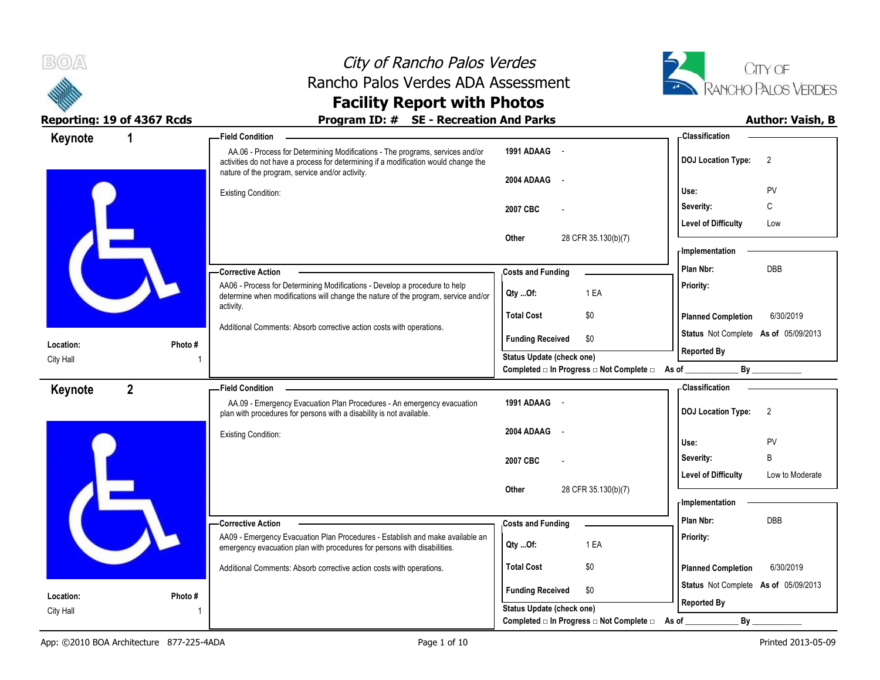



### **Reporting: 19 of 4367 Rcds Program ID: # SE - Recreation And Parks Author: Vaish, B**

| Keynote                | 1              | - Field Condition                                                                                                                                                                                                       |                                                                                            | - Classification                              |
|------------------------|----------------|-------------------------------------------------------------------------------------------------------------------------------------------------------------------------------------------------------------------------|--------------------------------------------------------------------------------------------|-----------------------------------------------|
|                        |                | AA.06 - Process for Determining Modifications - The programs, services and/or<br>activities do not have a process for determining if a modification would change the<br>nature of the program, service and/or activity. | 1991 ADAAG -                                                                               | <b>DOJ Location Type:</b><br>$\overline{2}$   |
|                        |                |                                                                                                                                                                                                                         | 2004 ADAAG                                                                                 |                                               |
|                        |                | <b>Existing Condition:</b>                                                                                                                                                                                              |                                                                                            | PV<br>Use:                                    |
|                        |                |                                                                                                                                                                                                                         | 2007 CBC                                                                                   | C<br>Severity:                                |
|                        |                |                                                                                                                                                                                                                         |                                                                                            | <b>Level of Difficulty</b><br>Low             |
|                        |                |                                                                                                                                                                                                                         | Other<br>28 CFR 35.130(b)(7)                                                               | <b>Implementation</b>                         |
|                        |                |                                                                                                                                                                                                                         |                                                                                            | DBB<br>Plan Nbr:                              |
|                        |                | - Corrective Action                                                                                                                                                                                                     | <b>Costs and Funding</b>                                                                   |                                               |
|                        |                | AA06 - Process for Determining Modifications - Develop a procedure to help<br>determine when modifications will change the nature of the program, service and/or                                                        | 1 EA<br>Qty Of:                                                                            | Priority:                                     |
|                        |                | activity.                                                                                                                                                                                                               | <b>Total Cost</b><br>\$0                                                                   | <b>Planned Completion</b><br>6/30/2019        |
|                        |                | Additional Comments: Absorb corrective action costs with operations.                                                                                                                                                    | <b>Funding Received</b><br>\$0                                                             | Status Not Complete As of 05/09/2013          |
| Location:              | Photo#         |                                                                                                                                                                                                                         |                                                                                            | <b>Reported By</b>                            |
| City Hall              |                |                                                                                                                                                                                                                         | <b>Status Update (check one)</b><br>Completed □ In Progress □ Not Complete □ As of _______ | $\mathsf{By}$                                 |
| Keynote                | $\overline{2}$ | - Field Condition                                                                                                                                                                                                       |                                                                                            | <b>Classification</b>                         |
|                        |                | AA.09 - Emergency Evacuation Plan Procedures - An emergency evacuation<br>plan with procedures for persons with a disability is not available.                                                                          | 1991 ADAAG -                                                                               | <b>DOJ Location Type:</b><br>$\overline{2}$   |
|                        |                | <b>Existing Condition:</b>                                                                                                                                                                                              | 2004 ADAAG<br>$\overline{\phantom{a}}$                                                     |                                               |
|                        |                |                                                                                                                                                                                                                         |                                                                                            | PV<br>Use:                                    |
|                        |                |                                                                                                                                                                                                                         | 2007 CBC                                                                                   | B<br>Severity:                                |
|                        |                |                                                                                                                                                                                                                         |                                                                                            | <b>Level of Difficulty</b><br>Low to Moderate |
|                        |                |                                                                                                                                                                                                                         | 28 CFR 35.130(b)(7)<br>Other                                                               |                                               |
|                        |                |                                                                                                                                                                                                                         |                                                                                            | - Implementation                              |
|                        |                | - Corrective Action                                                                                                                                                                                                     | <b>Costs and Funding</b>                                                                   | DBB<br>Plan Nbr:                              |
|                        |                | AA09 - Emergency Evacuation Plan Procedures - Establish and make available an<br>emergency evacuation plan with procedures for persons with disabilities.                                                               | 1 EA<br>Qty Of:                                                                            | Priority:                                     |
|                        |                | Additional Comments: Absorb corrective action costs with operations.                                                                                                                                                    | <b>Total Cost</b><br>\$0                                                                   | <b>Planned Completion</b><br>6/30/2019        |
|                        | Photo#         |                                                                                                                                                                                                                         | <b>Funding Received</b><br>\$0                                                             | Status Not Complete As of 05/09/2013          |
|                        |                |                                                                                                                                                                                                                         |                                                                                            |                                               |
| Location:<br>City Hall |                |                                                                                                                                                                                                                         | Status Update (check one)                                                                  | <b>Reported By</b>                            |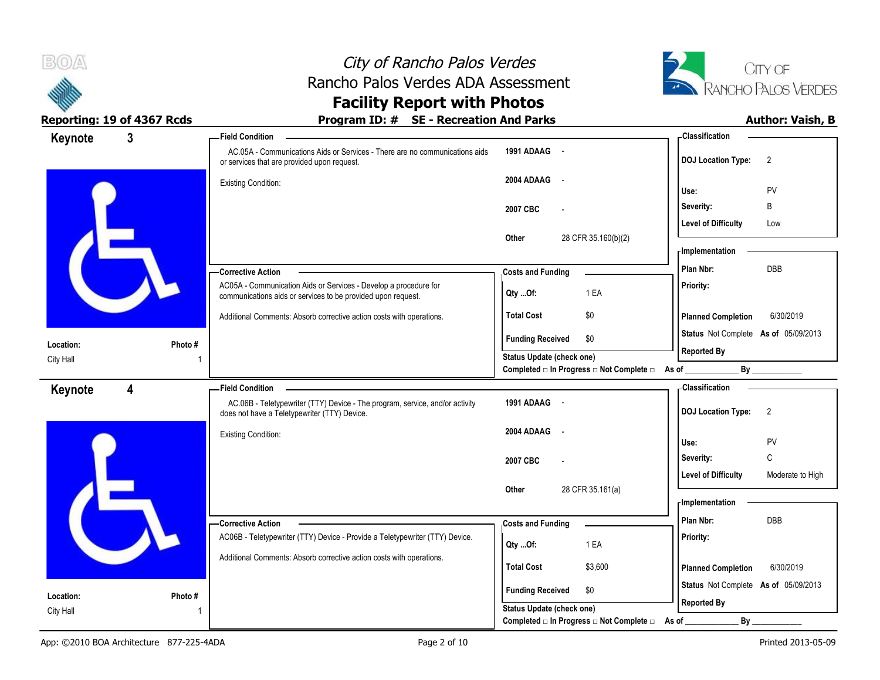



### **Facility Report with Photos** Reporting: 19 of 4367 Rcds **Program ID: # SE - Recreation And Parks Program ID: # SE - Recreation And Parks Program ID: # SE - Recreation And Parks Program ID: # SE - Recreation And Parks Program 10: 10**

| Keynote                | $\mathbf{3}$ | -Field Condition                                                                                                             |                                                  | <b>Classification</b>                          |
|------------------------|--------------|------------------------------------------------------------------------------------------------------------------------------|--------------------------------------------------|------------------------------------------------|
|                        |              | AC.05A - Communications Aids or Services - There are no communications aids<br>or services that are provided upon request.   | 1991 ADAAG -                                     | <b>DOJ Location Type:</b><br>2                 |
|                        |              | <b>Existing Condition:</b>                                                                                                   | 2004 ADAAG -                                     |                                                |
|                        |              |                                                                                                                              |                                                  | PV<br>Use:                                     |
|                        |              |                                                                                                                              | 2007 CBC                                         | Severity:<br>B                                 |
|                        |              |                                                                                                                              |                                                  | <b>Level of Difficulty</b><br>Low              |
|                        |              |                                                                                                                              | 28 CFR 35.160(b)(2)<br>Other                     | - Implementation                               |
|                        |              | -Corrective Action                                                                                                           |                                                  | <b>DBB</b><br>Plan Nbr:                        |
|                        |              | AC05A - Communication Aids or Services - Develop a procedure for                                                             | <b>Costs and Funding</b>                         | Priority:                                      |
|                        |              | communications aids or services to be provided upon request.                                                                 | 1 EA<br>Qty Of:                                  |                                                |
|                        |              | Additional Comments: Absorb corrective action costs with operations.                                                         | \$0<br><b>Total Cost</b>                         | <b>Planned Completion</b><br>6/30/2019         |
|                        |              |                                                                                                                              | <b>Funding Received</b><br>\$0                   | Status Not Complete As of 05/09/2013           |
| Location:              | Photo #      |                                                                                                                              | Status Update (check one)                        | <b>Reported By</b>                             |
| City Hall              |              |                                                                                                                              | Completed □ In Progress □ Not Complete □ As of _ | By                                             |
| Keynote                | 4            | <b>Field Condition</b>                                                                                                       |                                                  | <b>Classification</b>                          |
|                        |              | AC.06B - Teletypewriter (TTY) Device - The program, service, and/or activity<br>does not have a Teletypewriter (TTY) Device. | 1991 ADAAG -                                     | <b>DOJ Location Type:</b><br>2                 |
|                        |              | <b>Existing Condition:</b>                                                                                                   | 2004 ADAAG -                                     | PV<br>Use:                                     |
|                        |              |                                                                                                                              | 2007 CBC                                         | C<br>Severity:                                 |
|                        |              |                                                                                                                              |                                                  | <b>Level of Difficulty</b><br>Moderate to High |
|                        |              |                                                                                                                              | 28 CFR 35.161(a)<br>Other                        |                                                |
|                        |              |                                                                                                                              |                                                  | <b>Implementation</b>                          |
|                        |              | -Corrective Action                                                                                                           | <b>Costs and Funding</b>                         | <b>DBB</b><br>Plan Nbr:                        |
|                        |              | AC06B - Teletypewriter (TTY) Device - Provide a Teletypewriter (TTY) Device.                                                 | 1 EA<br>Qty Of:                                  | Priority:                                      |
|                        |              | Additional Comments: Absorb corrective action costs with operations.                                                         |                                                  |                                                |
|                        |              |                                                                                                                              | <b>Total Cost</b><br>\$3,600                     | <b>Planned Completion</b><br>6/30/2019         |
|                        |              |                                                                                                                              | <b>Funding Received</b><br>\$0                   | Status Not Complete As of 05/09/2013           |
| Location:<br>City Hall | Photo #      |                                                                                                                              | Status Update (check one)                        | <b>Reported By</b>                             |
|                        |              |                                                                                                                              | Completed □ In Progress □ Not Complete □         | By<br>As of                                    |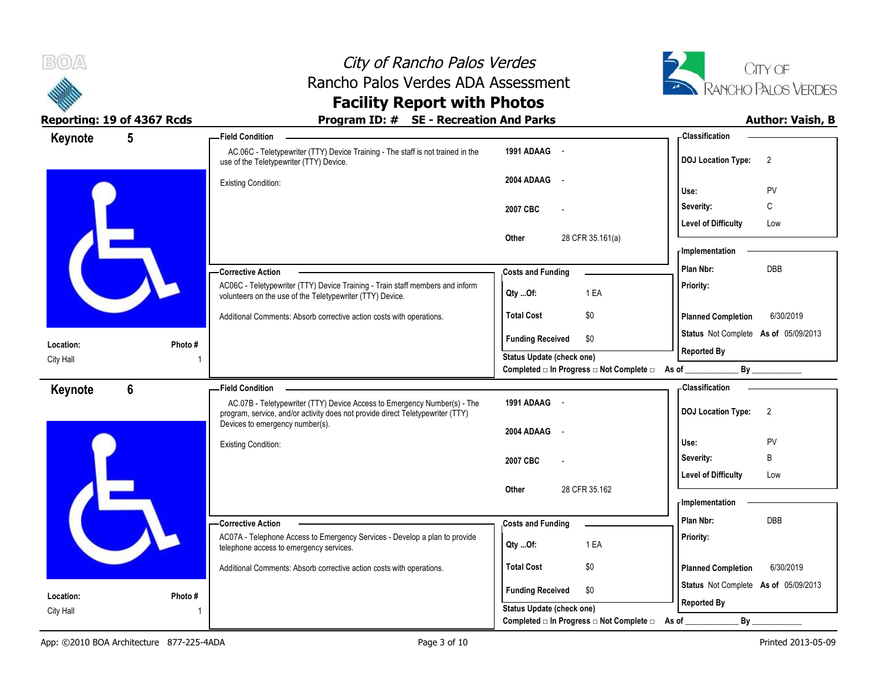



| Keynote   | $5\phantom{.0}$ | <b>Field Condition</b>                                                                                                                                                               |                                                         | - Classification                                                     |
|-----------|-----------------|--------------------------------------------------------------------------------------------------------------------------------------------------------------------------------------|---------------------------------------------------------|----------------------------------------------------------------------|
|           |                 | AC.06C - Teletypewriter (TTY) Device Training - The staff is not trained in the<br>use of the Teletypewriter (TTY) Device.                                                           | 1991 ADAAG -                                            | <b>DOJ Location Type:</b><br>$\overline{2}$                          |
|           |                 | <b>Existing Condition:</b>                                                                                                                                                           | 2004 ADAAG<br>$\sim$                                    | PV<br>Use:                                                           |
|           |                 |                                                                                                                                                                                      | 2007 CBC                                                | C<br>Severity:                                                       |
|           |                 |                                                                                                                                                                                      |                                                         | <b>Level of Difficulty</b><br>Low                                    |
|           |                 |                                                                                                                                                                                      | 28 CFR 35.161(a)<br>Other                               | <b>Implementation</b>                                                |
|           |                 | - Corrective Action                                                                                                                                                                  | <b>Costs and Funding</b>                                | Plan Nbr:<br>DBB                                                     |
|           |                 | AC06C - Teletypewriter (TTY) Device Training - Train staff members and inform<br>volunteers on the use of the Teletypewriter (TTY) Device.                                           | 1 EA<br>Qty Of:                                         | Priority:                                                            |
|           |                 | Additional Comments: Absorb corrective action costs with operations.                                                                                                                 | <b>Total Cost</b><br>\$0                                | <b>Planned Completion</b><br>6/30/2019                               |
| Location: | Photo#          |                                                                                                                                                                                      | <b>Funding Received</b><br>\$0                          | Status Not Complete As of 05/09/2013                                 |
| City Hall |                 |                                                                                                                                                                                      | <b>Status Update (check one)</b>                        | <b>Reported By</b>                                                   |
|           |                 |                                                                                                                                                                                      | Completed □ In Progress □ Not Complete □ As of ________ | By                                                                   |
| Keynote   | $6\phantom{1}$  | <b>Field Condition</b><br>AC.07B - Teletypewriter (TTY) Device Access to Emergency Number(s) - The<br>program, service, and/or activity does not provide direct Teletypewriter (TTY) | 1991 ADAAG -                                            | <b>Classification</b><br>$\overline{2}$<br><b>DOJ Location Type:</b> |
|           |                 | Devices to emergency number(s).                                                                                                                                                      | 2004 ADAAG<br>$\sim$                                    |                                                                      |
|           |                 | <b>Existing Condition:</b>                                                                                                                                                           |                                                         | Use:<br>PV                                                           |
|           |                 |                                                                                                                                                                                      | 2007 CBC                                                | B<br>Severity:                                                       |
|           |                 |                                                                                                                                                                                      |                                                         | <b>Level of Difficulty</b><br>Low                                    |
|           |                 |                                                                                                                                                                                      | 28 CFR 35.162<br>Other                                  | - Implementation                                                     |
|           |                 | -Corrective Action                                                                                                                                                                   | <b>Costs and Funding</b>                                | Plan Nbr:<br>DBB                                                     |
|           |                 | AC07A - Telephone Access to Emergency Services - Develop a plan to provide<br>telephone access to emergency services.                                                                | 1 EA<br>Qty Of:                                         | Priority:                                                            |
|           |                 | Additional Comments: Absorb corrective action costs with operations.                                                                                                                 | <b>Total Cost</b><br>\$0                                | <b>Planned Completion</b><br>6/30/2019                               |
| Location: | Photo #         |                                                                                                                                                                                      | <b>Funding Received</b><br>\$0                          | Status Not Complete As of 05/09/2013                                 |
| City Hall |                 |                                                                                                                                                                                      | Status Update (check one)                               | <b>Reported By</b>                                                   |
|           |                 |                                                                                                                                                                                      | Completed □ In Progress □ Not Complete □ As of          | By                                                                   |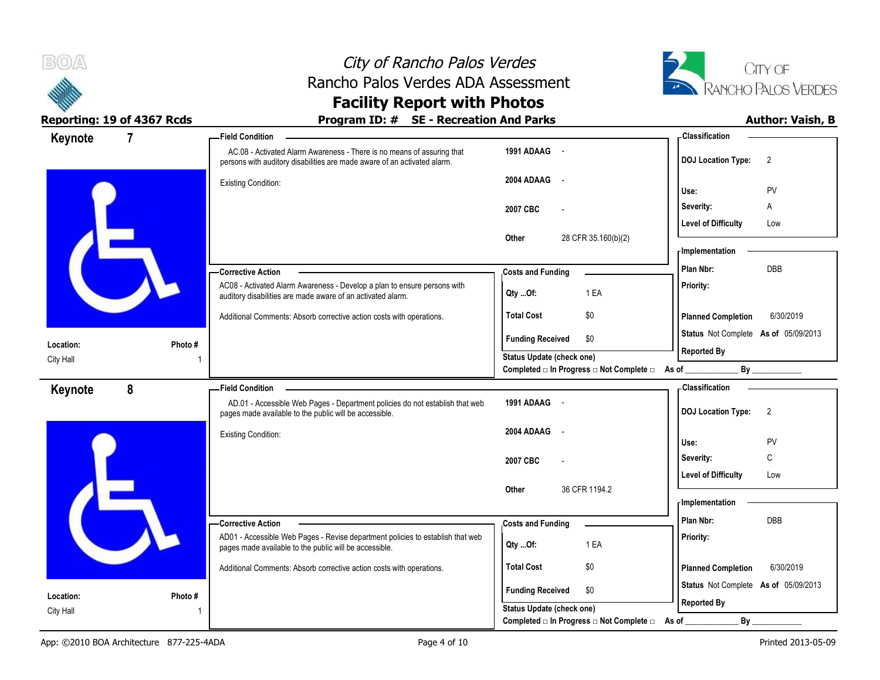



| Keynote   | $\overline{7}$ | -Field Condition                                                                                                                                   |                                                                                    | - Classification                            |
|-----------|----------------|----------------------------------------------------------------------------------------------------------------------------------------------------|------------------------------------------------------------------------------------|---------------------------------------------|
|           |                | AC.08 - Activated Alarm Awareness - There is no means of assuring that<br>persons with auditory disabilities are made aware of an activated alarm. | 1991 ADAAG -                                                                       | <b>DOJ Location Type:</b><br>$\overline{2}$ |
|           |                | <b>Existing Condition:</b>                                                                                                                         | 2004 ADAAG<br>$\sim$ $\sim$                                                        | PV<br>Use:                                  |
|           |                |                                                                                                                                                    | 2007 CBC                                                                           | Severity:<br>Α                              |
|           |                |                                                                                                                                                    |                                                                                    | <b>Level of Difficulty</b><br>Low           |
|           |                |                                                                                                                                                    | 28 CFR 35.160(b)(2)<br>Other                                                       | <b>Implementation</b>                       |
|           |                | - Corrective Action                                                                                                                                | <b>Costs and Funding</b>                                                           | DBB<br>Plan Nbr:                            |
|           |                | AC08 - Activated Alarm Awareness - Develop a plan to ensure persons with<br>auditory disabilities are made aware of an activated alarm.            | 1 EA<br>Qty Of:                                                                    | Priority:                                   |
|           |                | Additional Comments: Absorb corrective action costs with operations.                                                                               | <b>Total Cost</b><br>\$0                                                           | <b>Planned Completion</b><br>6/30/2019      |
| Location: | Photo#         |                                                                                                                                                    | <b>Funding Received</b><br>\$0                                                     | Status Not Complete As of 05/09/2013        |
| City Hall |                |                                                                                                                                                    | <b>Status Update (check one)</b><br>Completed □ In Progress □ Not Complete □ As of | <b>Reported By</b><br>By                    |
| Keynote   | 8              | <b>Field Condition</b>                                                                                                                             |                                                                                    | <b>Classification</b>                       |
|           |                | AD.01 - Accessible Web Pages - Department policies do not establish that web<br>pages made available to the public will be accessible.             | 1991 ADAAG -                                                                       | <b>DOJ Location Type:</b><br>$\overline{2}$ |
|           |                | <b>Existing Condition:</b>                                                                                                                         | 2004 ADAAG<br>$\sim$ $\sim$                                                        | PV<br>Use:                                  |
|           |                |                                                                                                                                                    | 2007 CBC                                                                           | C<br>Severity:                              |
|           |                |                                                                                                                                                    |                                                                                    | <b>Level of Difficulty</b><br>Low           |
|           |                |                                                                                                                                                    | 36 CFR 1194.2<br>Other                                                             | <b>Implementation</b>                       |
|           |                | -Corrective Action                                                                                                                                 | <b>Costs and Funding</b>                                                           | Plan Nbr:<br>DBB                            |
|           |                | AD01 - Accessible Web Pages - Revise department policies to establish that web<br>pages made available to the public will be accessible.           | Qty Of:<br>1 EA                                                                    | Priority:                                   |
|           |                | Additional Comments: Absorb corrective action costs with operations.                                                                               | <b>Total Cost</b><br>\$0                                                           | 6/30/2019<br><b>Planned Completion</b>      |
| Location: | Photo #        |                                                                                                                                                    | <b>Funding Received</b><br>\$0                                                     | Status Not Complete As of 05/09/2013        |
| City Hall |                |                                                                                                                                                    | <b>Status Update (check one)</b>                                                   | <b>Reported By</b>                          |
|           |                |                                                                                                                                                    | Completed □ In Progress □ Not Complete □                                           | By<br>As of                                 |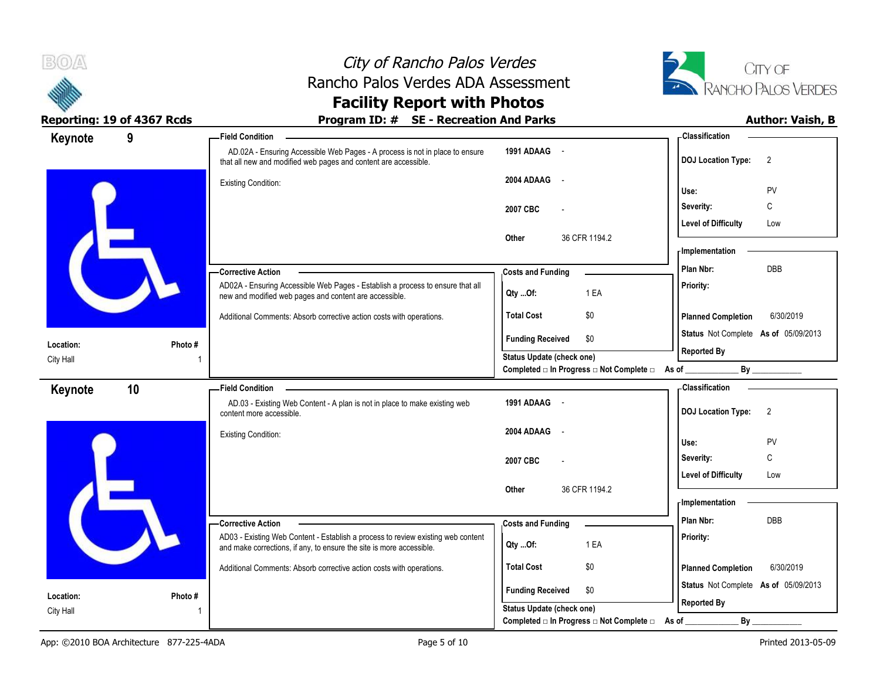



| Keynote   | 9       | - Field Condition                                                                                                                                        |                                                                                      | - Classification                            |
|-----------|---------|----------------------------------------------------------------------------------------------------------------------------------------------------------|--------------------------------------------------------------------------------------|---------------------------------------------|
|           |         | AD.02A - Ensuring Accessible Web Pages - A process is not in place to ensure<br>that all new and modified web pages and content are accessible.          | 1991 ADAAG -                                                                         | <b>DOJ Location Type:</b><br>$\overline{2}$ |
|           |         | <b>Existing Condition:</b>                                                                                                                               | 2004 ADAAG -                                                                         | PV<br>Use:                                  |
|           |         |                                                                                                                                                          | 2007 CBC<br>$\overline{\phantom{a}}$                                                 | С<br>Severity:                              |
|           |         |                                                                                                                                                          |                                                                                      | <b>Level of Difficulty</b><br>Low           |
|           |         |                                                                                                                                                          | 36 CFR 1194.2<br>Other                                                               | - Implementation                            |
|           |         | - Corrective Action                                                                                                                                      | <b>Costs and Funding</b>                                                             | DBB<br>Plan Nbr:                            |
|           |         | AD02A - Ensuring Accessible Web Pages - Establish a process to ensure that all<br>new and modified web pages and content are accessible.                 | 1 EA<br>Qty Of:                                                                      | Priority:                                   |
|           |         | Additional Comments: Absorb corrective action costs with operations.                                                                                     | \$0<br><b>Total Cost</b>                                                             | <b>Planned Completion</b><br>6/30/2019      |
| Location: | Photo # |                                                                                                                                                          | <b>Funding Received</b><br>\$0                                                       | Status Not Complete As of 05/09/2013        |
| City Hall |         |                                                                                                                                                          | <b>Status Update (check one)</b><br>Completed □ In Progress □ Not Complete □ As of _ | <b>Reported By</b>                          |
| Keynote   | 10      | <b>Field Condition</b>                                                                                                                                   |                                                                                      | - Classification                            |
|           |         | AD.03 - Existing Web Content - A plan is not in place to make existing web<br>content more accessible.                                                   | 1991 ADAAG -                                                                         | <b>DOJ</b> Location Type:<br>$\overline{2}$ |
|           |         | <b>Existing Condition:</b>                                                                                                                               | 2004 ADAAG<br>$\sim$                                                                 | Use:<br>PV                                  |
|           |         |                                                                                                                                                          | 2007 CBC<br>$\overline{a}$                                                           | C<br>Severity:                              |
|           |         |                                                                                                                                                          |                                                                                      | <b>Level of Difficulty</b><br>Low           |
|           |         |                                                                                                                                                          | 36 CFR 1194.2<br>Other                                                               | - Implementation                            |
|           |         | -Corrective Action                                                                                                                                       | <b>Costs and Funding</b>                                                             | Plan Nbr:<br>DBB                            |
|           |         | AD03 - Existing Web Content - Establish a process to review existing web content<br>and make corrections, if any, to ensure the site is more accessible. | 1 EA<br>Qty Of:                                                                      | Priority:                                   |
|           |         | Additional Comments: Absorb corrective action costs with operations.                                                                                     | <b>Total Cost</b><br>\$0                                                             | <b>Planned Completion</b><br>6/30/2019      |
| Location: | Photo # |                                                                                                                                                          | <b>Funding Received</b><br>\$0                                                       | Status Not Complete As of 05/09/2013        |
| City Hall |         |                                                                                                                                                          | Status Update (check one)                                                            | <b>Reported By</b>                          |
|           |         |                                                                                                                                                          | Completed □ In Progress □ Not Complete □                                             | $By$ <sub>—</sub><br>As of _                |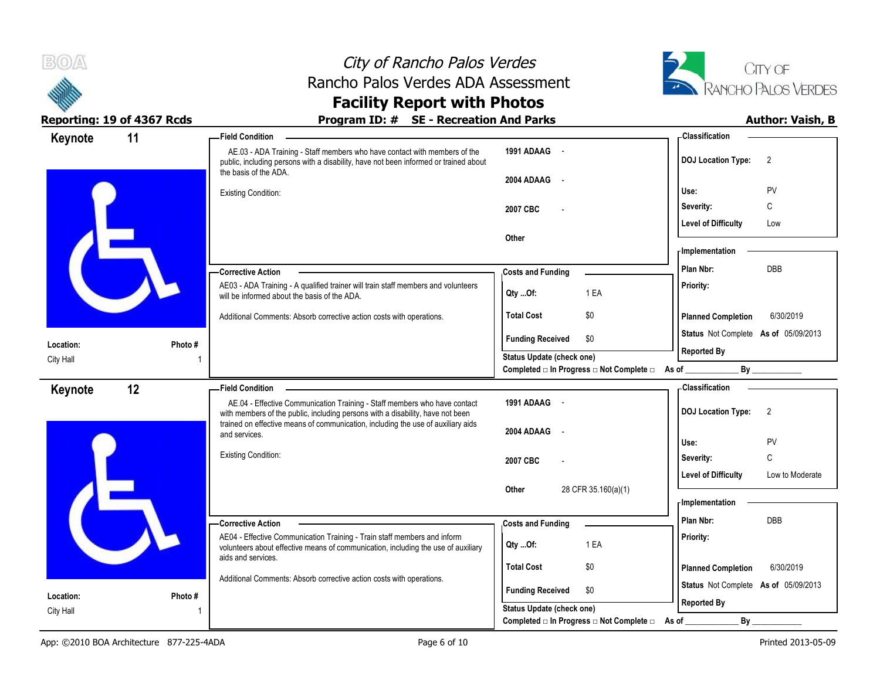



| Keynote                | 11      | -Field Condition                                                                                                                                                                           |                                                                    | -Classification                               |
|------------------------|---------|--------------------------------------------------------------------------------------------------------------------------------------------------------------------------------------------|--------------------------------------------------------------------|-----------------------------------------------|
|                        |         | AE.03 - ADA Training - Staff members who have contact with members of the<br>public, including persons with a disability, have not been informed or trained about<br>the basis of the ADA. | 1991 ADAAG -                                                       | <b>DOJ Location Type:</b><br>$\overline{2}$   |
|                        |         | <b>Existing Condition:</b>                                                                                                                                                                 | 2004 ADAAG<br>$\sim$                                               | PV<br>Use:                                    |
|                        |         |                                                                                                                                                                                            | 2007 CBC                                                           | C<br>Severity:                                |
|                        |         |                                                                                                                                                                                            |                                                                    | <b>Level of Difficulty</b><br>Low             |
|                        |         |                                                                                                                                                                                            | Other                                                              |                                               |
|                        |         |                                                                                                                                                                                            |                                                                    | - Implementation                              |
|                        |         | -Corrective Action                                                                                                                                                                         | <b>Costs and Funding</b>                                           | <b>DBB</b><br>Plan Nbr:                       |
|                        |         | AE03 - ADA Training - A qualified trainer will train staff members and volunteers<br>will be informed about the basis of the ADA.                                                          | 1 EA<br>Qty Of:                                                    | Priority:                                     |
|                        |         | Additional Comments: Absorb corrective action costs with operations.                                                                                                                       | <b>Total Cost</b><br>\$0                                           | <b>Planned Completion</b><br>6/30/2019        |
|                        |         |                                                                                                                                                                                            | <b>Funding Received</b><br>\$0                                     | Status Not Complete As of 05/09/2013          |
| Location:<br>City Hall | Photo#  |                                                                                                                                                                                            | Status Update (check one)                                          | <b>Reported By</b>                            |
|                        |         |                                                                                                                                                                                            | Completed □ In Progress □ Not Complete □ As of _                   | By                                            |
| Keynote                | 12      | <b>Field Condition</b>                                                                                                                                                                     |                                                                    | - Classification                              |
|                        |         | AE.04 - Effective Communication Training - Staff members who have contact<br>with members of the public, including persons with a disability, have not been                                | 1991 ADAAG -                                                       | <b>DOJ</b> Location Type:<br>2                |
|                        |         | trained on effective means of communication, including the use of auxiliary aids<br>and services.                                                                                          | 2004 ADAAG                                                         |                                               |
|                        |         |                                                                                                                                                                                            |                                                                    | Use:<br>PV                                    |
|                        |         | Existing Condition:                                                                                                                                                                        | 2007 CBC                                                           | C<br>Severity:                                |
|                        |         |                                                                                                                                                                                            |                                                                    | <b>Level of Difficulty</b><br>Low to Moderate |
|                        |         |                                                                                                                                                                                            | 28 CFR 35.160(a)(1)<br>Other                                       | - Implementation                              |
|                        |         | - Corrective Action                                                                                                                                                                        |                                                                    | Plan Nbr:<br>DBB                              |
|                        |         | AE04 - Effective Communication Training - Train staff members and inform                                                                                                                   | <b>Costs and Funding</b>                                           | Priority:                                     |
|                        |         | volunteers about effective means of communication, including the use of auxiliary<br>aids and services.                                                                                    | 1 EA<br>Qty Of:                                                    |                                               |
|                        |         |                                                                                                                                                                                            | <b>Total Cost</b><br>\$0                                           | <b>Planned Completion</b><br>6/30/2019        |
|                        |         |                                                                                                                                                                                            |                                                                    |                                               |
|                        |         | Additional Comments: Absorb corrective action costs with operations.                                                                                                                       |                                                                    | Status Not Complete As of 05/09/2013          |
| Location:<br>City Hall | Photo # |                                                                                                                                                                                            | <b>Funding Received</b><br>\$0<br><b>Status Update (check one)</b> | <b>Reported By</b>                            |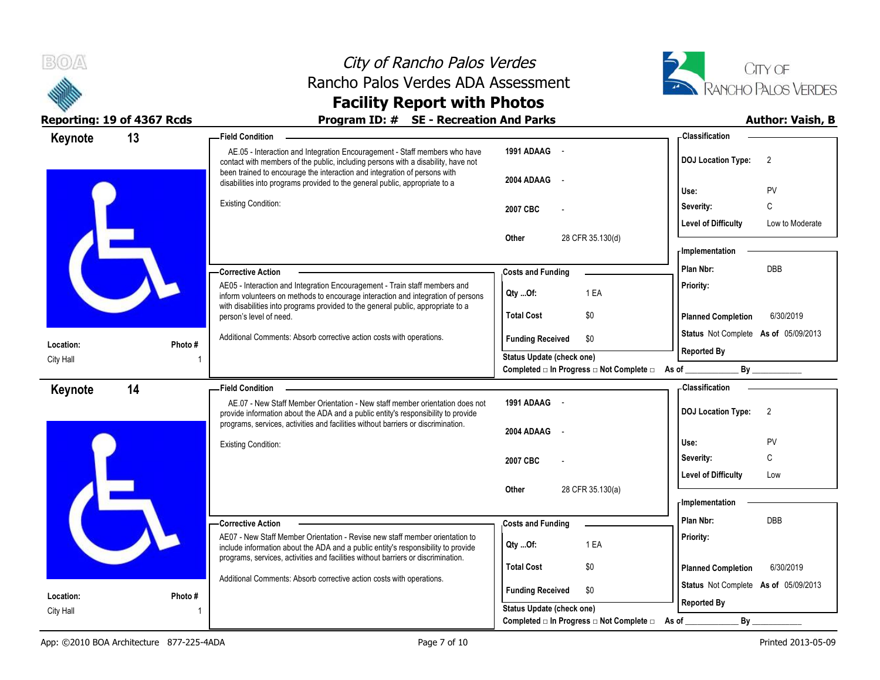



### **Reporting: 19 of 4367 Rcds Program ID: # SE - Recreation And Parks Author: Vaish, B**

| Keynote   | 13      | <b>Field Condition</b>                                                                                                                                                                                                                             |                                                          | - Classification                              |
|-----------|---------|----------------------------------------------------------------------------------------------------------------------------------------------------------------------------------------------------------------------------------------------------|----------------------------------------------------------|-----------------------------------------------|
|           |         | AE.05 - Interaction and Integration Encouragement - Staff members who have<br>contact with members of the public, including persons with a disability, have not                                                                                    | 1991 ADAAG -                                             | <b>DOJ Location Type:</b><br>$\overline{2}$   |
|           |         | been trained to encourage the interaction and integration of persons with<br>disabilities into programs provided to the general public, appropriate to a                                                                                           | 2004 ADAAG                                               | PV<br>Use:                                    |
|           |         | <b>Existing Condition:</b>                                                                                                                                                                                                                         | 2007 CBC                                                 | Severity:<br>C                                |
|           |         |                                                                                                                                                                                                                                                    |                                                          | <b>Level of Difficulty</b><br>Low to Moderate |
|           |         |                                                                                                                                                                                                                                                    | Other<br>28 CFR 35.130(d)                                |                                               |
|           |         |                                                                                                                                                                                                                                                    |                                                          | <b>Implementation</b>                         |
|           |         | — Corrective Action                                                                                                                                                                                                                                | <b>Costs and Funding</b>                                 | DBB<br>Plan Nbr:                              |
|           |         | AE05 - Interaction and Integration Encouragement - Train staff members and<br>inform volunteers on methods to encourage interaction and integration of persons<br>with disabilities into programs provided to the general public, appropriate to a | 1 EA<br>Qty Of:                                          | Priority:                                     |
|           |         | person's level of need.                                                                                                                                                                                                                            | <b>Total Cost</b><br>\$0                                 | <b>Planned Completion</b><br>6/30/2019        |
| Location: | Photo#  | Additional Comments: Absorb corrective action costs with operations.                                                                                                                                                                               | <b>Funding Received</b><br>\$0                           | Status Not Complete As of 05/09/2013          |
| City Hall |         |                                                                                                                                                                                                                                                    | <b>Status Update (check one)</b>                         | <b>Reported By</b>                            |
|           |         |                                                                                                                                                                                                                                                    | Completed □ In Progress □ Not Complete □ As of _________ | By                                            |
| Keynote   | 14      | <b>Field Condition</b>                                                                                                                                                                                                                             |                                                          | - Classification                              |
|           |         | AE.07 - New Staff Member Orientation - New staff member orientation does not<br>provide information about the ADA and a public entity's responsibility to provide                                                                                  | 1991 ADAAG -                                             | <b>DOJ Location Type:</b><br>$\overline{2}$   |
|           |         | programs, services, activities and facilities without barriers or discrimination.                                                                                                                                                                  | 2004 ADAAG                                               |                                               |
|           |         | <b>Existing Condition:</b>                                                                                                                                                                                                                         |                                                          | Use:<br>PV                                    |
|           |         |                                                                                                                                                                                                                                                    | 2007 CBC                                                 | Severity:<br>C                                |
|           |         |                                                                                                                                                                                                                                                    |                                                          | <b>Level of Difficulty</b><br>Low             |
|           |         |                                                                                                                                                                                                                                                    | 28 CFR 35.130(a)<br>Other                                | <b>Implementation</b>                         |
|           |         | -Corrective Action                                                                                                                                                                                                                                 | <b>Costs and Funding</b>                                 | Plan Nbr:<br><b>DBB</b>                       |
|           |         | AE07 - New Staff Member Orientation - Revise new staff member orientation to                                                                                                                                                                       |                                                          | Priority:                                     |
|           |         | include information about the ADA and a public entity's responsibility to provide<br>programs, services, activities and facilities without barriers or discrimination.                                                                             | 1 EA<br>Qty Of:                                          |                                               |
|           |         |                                                                                                                                                                                                                                                    | <b>Total Cost</b><br>\$0                                 | 6/30/2019<br><b>Planned Completion</b>        |
|           |         | Additional Comments: Absorb corrective action costs with operations.                                                                                                                                                                               | <b>Funding Received</b><br>\$0                           | Status Not Complete As of 05/09/2013          |
| Location: | Photo # |                                                                                                                                                                                                                                                    | <b>Status Update (check one)</b>                         | <b>Reported By</b>                            |
| City Hall |         |                                                                                                                                                                                                                                                    |                                                          |                                               |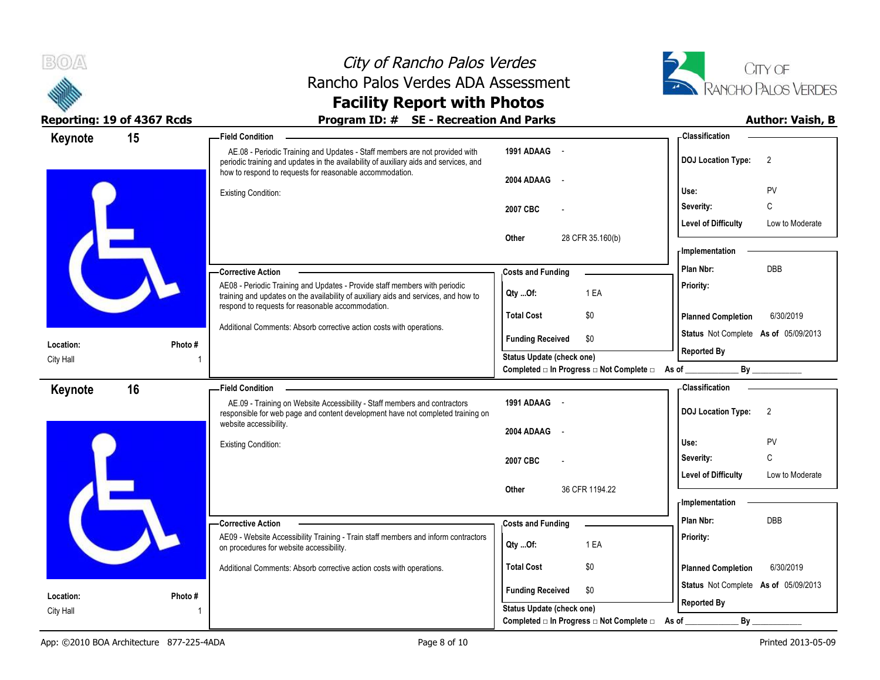



### **Reporting: 19 of 4367 Rcds Program ID: # SE - Recreation And Parks Author: Vaish, B**

 AE.08 - Periodic Training and Updates - Staff members are not provided with periodic training and updates in the availability of auxiliary aids and services, and how to respond to requests for reasonable accommodation. Existing Condition: AE08 - Periodic Training and Updates - Provide staff members with periodic training and updates on the availability of auxiliary aids and services, and how to respond to requests for reasonable accommodation. Additional Comments: Absorb corrective action costs with operations. **Corrective Action Photo #** 1 **1991 ADAAG** - **2004 ADAAG** - **2007 CBC** - **Other** 28 CFR 35.160(b) **Priority: Total Cost** \$0 **15 Field Condition Status** Not Complete **As of** 05/09/2013 **Keynote Costs and Funding <b>Plan Nbr:** DBB **Use:** PV **Severity:** C **DOJ Location Type:** 2 **Level of Difficulty** Low to Moderate **Location:** City Hall **Planned Completion** 6/30/2019 **Classification Implementation Funding Received \$0 Status Update (check one)** Completed □ In Progress □ Not Complete □ As of \_\_\_\_\_\_\_\_\_\_\_\_\_\_\_\_\_\_\_\_\_\_\_\_\_\_\_\_\_\_\_\_\_ **Reported By Qty ...Of:** 1 EA AE.09 - Training on Website Accessibility - Staff members and contractors responsible for web page and content development have not completed training on website accessibility. Existing Condition: AE09 - Website Accessibility Training - Train staff members and inform contractors on procedures for website accessibility. Additional Comments: Absorb corrective action costs with operations. **Corrective Action Photo #** 1 **1991 ADAAG** - **2004 ADAAG** - **2007 CBC** - **Other** 36 CFR 1194 22 **Priority: Total Cost** \$0 **16 Field Condition Status** Not Complete **As of** 05/09/2013 **Keynote Costs and Funding <b>Plan Nbr:** DBB **Use:** PV **Severity:** C **DOJ Location Type:** 2 **Level of Difficulty** Low to Moderate **Location:** City Hall **Planned Completion** 6/30/2019 **Classification Implementation Funding Received \$0 Status Update (check one)** Completed □ In Progress □ Not Complete □ As of \_\_\_\_\_\_\_\_\_\_\_\_\_\_\_\_\_\_\_\_\_\_\_\_\_\_\_\_\_\_\_\_\_ **Reported By Qty ...Of:** 1 EA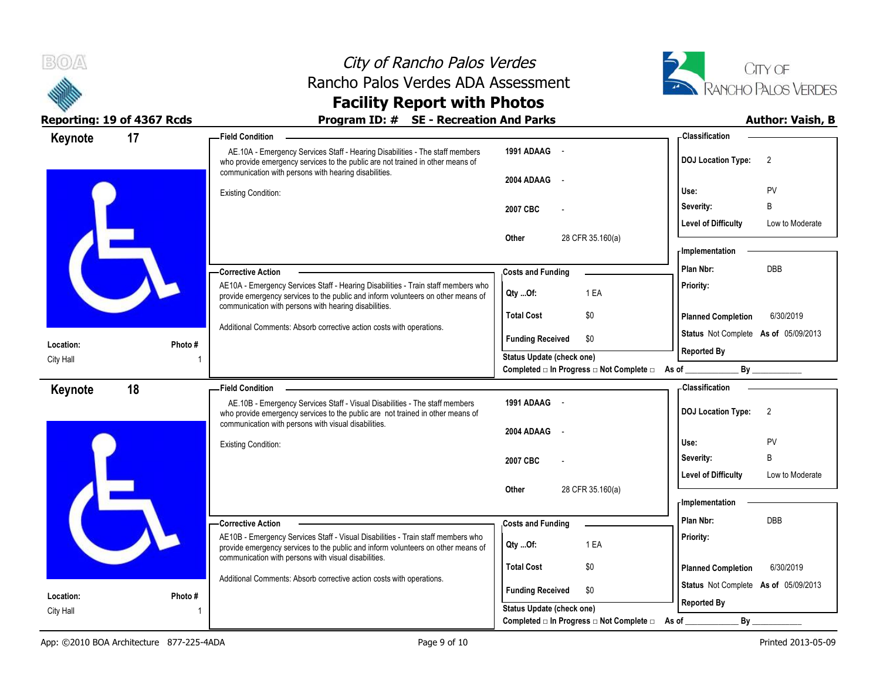



## Reporting: 19 of 4367 Rcds **Program ID: # SE - Recreation And Parks Program ID: # SE - Recreation And Parks Program ID: # SE - Recreation And Parks Program ID: # SE - Recreation And Parks Program 10: 10**

| Keynote   | 17      | <b>Field Condition</b>                                                                                                                                                                                                       |                                                                                            | - Classification                                           |
|-----------|---------|------------------------------------------------------------------------------------------------------------------------------------------------------------------------------------------------------------------------------|--------------------------------------------------------------------------------------------|------------------------------------------------------------|
|           |         | AE.10A - Emergency Services Staff - Hearing Disabilities - The staff members<br>who provide emergency services to the public are not trained in other means of<br>communication with persons with hearing disabilities.      | 1991 ADAAG -                                                                               | 2<br><b>DOJ Location Type:</b>                             |
|           |         |                                                                                                                                                                                                                              | 2004 ADAAG<br>$\sim$ $-$                                                                   | Use:<br>PV                                                 |
|           |         | Existing Condition:                                                                                                                                                                                                          |                                                                                            | B<br>Severity:                                             |
|           |         |                                                                                                                                                                                                                              | 2007 CBC                                                                                   | <b>Level of Difficulty</b><br>Low to Moderate              |
|           |         |                                                                                                                                                                                                                              | 28 CFR 35.160(a)<br><b>Other</b>                                                           |                                                            |
|           |         |                                                                                                                                                                                                                              |                                                                                            | - Implementation                                           |
|           |         | -Corrective Action                                                                                                                                                                                                           | <b>Costs and Funding</b>                                                                   | <b>DBB</b><br>Plan Nbr:                                    |
|           |         | AE10A - Emergency Services Staff - Hearing Disabilities - Train staff members who<br>provide emergency services to the public and inform volunteers on other means of                                                        | 1 EA<br>Qty Of:                                                                            | Priority:                                                  |
|           |         | communication with persons with hearing disabilities.                                                                                                                                                                        | <b>Total Cost</b><br>\$0                                                                   | 6/30/2019<br><b>Planned Completion</b>                     |
|           |         | Additional Comments: Absorb corrective action costs with operations.                                                                                                                                                         | <b>Funding Received</b><br>\$0                                                             | Status Not Complete As of 05/09/2013                       |
| Location: | Photo # |                                                                                                                                                                                                                              | <b>Status Update (check one)</b>                                                           | <b>Reported By</b>                                         |
| City Hall |         |                                                                                                                                                                                                                              | Completed $□$ In Progress $□$ Not Complete $□$ As of                                       | $By$ <sub>—</sub>                                          |
| Keynote   | 18      | <b>Field Condition</b>                                                                                                                                                                                                       |                                                                                            | - Classification                                           |
|           |         | AE.10B - Emergency Services Staff - Visual Disabilities - The staff members<br>who provide emergency services to the public are not trained in other means of<br>communication with persons with visual disabilities.        | 1991 ADAAG -                                                                               | <b>DOJ Location Type:</b><br>$\overline{2}$                |
|           |         |                                                                                                                                                                                                                              | 2004 ADAAG<br>$\overline{\phantom{a}}$                                                     |                                                            |
|           |         | <b>Existing Condition:</b>                                                                                                                                                                                                   |                                                                                            | PV<br>Use:<br>B                                            |
|           |         |                                                                                                                                                                                                                              | 2007 CBC                                                                                   | Severity:<br><b>Level of Difficulty</b><br>Low to Moderate |
|           |         |                                                                                                                                                                                                                              | 28 CFR 35.160(a)<br>Other                                                                  |                                                            |
|           |         |                                                                                                                                                                                                                              |                                                                                            | - Implementation                                           |
|           |         | -Corrective Action                                                                                                                                                                                                           | <b>Costs and Funding</b>                                                                   | Plan Nbr:<br>DBB                                           |
|           |         | AE10B - Emergency Services Staff - Visual Disabilities - Train staff members who<br>provide emergency services to the public and inform volunteers on other means of<br>communication with persons with visual disabilities. | 1 EA<br>Qty Of:                                                                            | Priority:                                                  |
|           |         |                                                                                                                                                                                                                              | <b>Total Cost</b><br>\$0                                                                   | <b>Planned Completion</b><br>6/30/2019                     |
|           |         | Additional Comments: Absorb corrective action costs with operations.                                                                                                                                                         | <b>Funding Received</b><br>\$0                                                             | Status Not Complete As of 05/09/2013                       |
| Location: | Photo # |                                                                                                                                                                                                                              |                                                                                            | <b>Reported By</b>                                         |
| City Hall |         |                                                                                                                                                                                                                              | Status Update (check one)<br>Completed $\Box$ In Progress $\Box$ Not Complete $\Box$ As of | By                                                         |